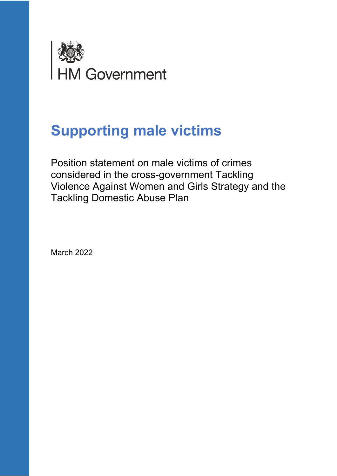

# **Supporting male victims**

Position statement on male victims of crimes considered in the cross-government Tackling Violence Against Women and Girls Strategy and the Tackling Domestic Abuse Plan

March 2022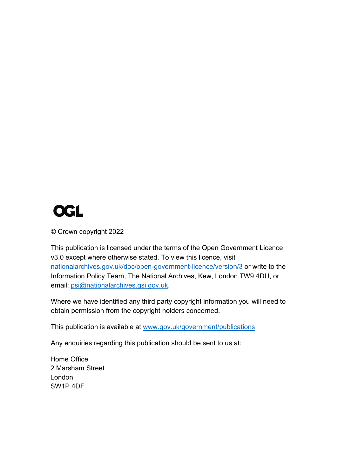

© Crown copyright 2022

This publication is licensed under the terms of the Open Government Licence v3.0 except where otherwise stated. To view this licence, visit [nationalarchives.gov.uk/doc/open-government-licence/version/3](http://nationalarchives.gov.uk/doc/open-government-licence/version/3/) or write to the Information Policy Team, The National Archives, Kew, London TW9 4DU, or email: [psi@nationalarchives.gsi.gov.uk.](mailto:psi@nationalarchives.gsi.gov.uk)

Where we have identified any third party copyright information you will need to obtain permission from the copyright holders concerned.

This publication is available at [www.gov.uk/government/publications](http://www.gov.uk/government/publications)

Any enquiries regarding this publication should be sent to us at:

Home Office 2 Marsham Street London SW1P 4DF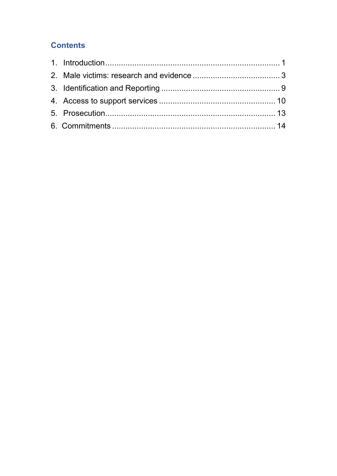# **Contents**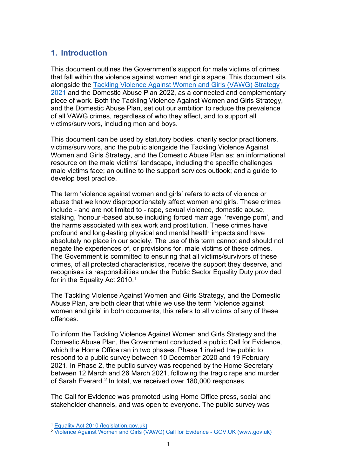# <span id="page-3-0"></span>**1. Introduction**

This document outlines the Government's support for male victims of crimes that fall within the violence against women and girls space. This document sits alongside the [Tackling Violence Against Women and Girls](https://www.gov.uk/government/publications/tackling-violence-against-women-and-girls-strategy) (VAWG) Strategy [2021](https://www.gov.uk/government/publications/tackling-violence-against-women-and-girls-strategy) and the Domestic Abuse Plan 2022, as a connected and complementary piece of work. Both the Tackling Violence Against Women and Girls Strategy, and the Domestic Abuse Plan, set out our ambition to reduce the prevalence of all VAWG crimes, regardless of who they affect, and to support all victims/survivors, including men and boys.

This document can be used by statutory bodies, charity sector practitioners, victims/survivors, and the public alongside the Tackling Violence Against Women and Girls Strategy, and the Domestic Abuse Plan as: an informational resource on the male victims' landscape, including the specific challenges male victims face; an outline to the support services outlook; and a guide to develop best practice.

The term 'violence against women and girls' refers to acts of violence or abuse that we know disproportionately affect women and girls. These crimes include - and are not limited to - rape, sexual violence, domestic abuse, stalking, 'honour'-based abuse including forced marriage, 'revenge porn', and the harms associated with sex work and prostitution. These crimes have profound and long-lasting physical and mental health impacts and have absolutely no place in our society. The use of this term cannot and should not negate the experiences of, or provisions for, male victims of these crimes. The Government is committed to ensuring that all victims/survivors of these crimes, of all protected characteristics, receive the support they deserve, and recognises its responsibilities under the Public Sector Equality Duty provided for in the Equality Act 2010. [1](#page-3-1)

The Tackling Violence Against Women and Girls Strategy, and the Domestic Abuse Plan, are both clear that while we use the term 'violence against women and girls' in both documents, this refers to all victims of any of these offences.

To inform the Tackling Violence Against Women and Girls Strategy and the Domestic Abuse Plan, the Government conducted a public Call for Evidence, which the Home Office ran in two phases. Phase 1 invited the public to respond to a public survey between 10 December 2020 and 19 February 2021. In Phase 2, the public survey was reopened by the Home Secretary between 12 March and 26 March 2021, following the tragic rape and murder of Sarah Everard. [2](#page-3-2) In total, we received over 180,000 responses.

The Call for Evidence was promoted using Home Office press, social and stakeholder channels, and was open to everyone. The public survey was

<span id="page-3-1"></span><sup>1</sup> [Equality Act 2010 \(legislation.gov.uk\)](https://www.legislation.gov.uk/ukpga/2010/15/section/149)

<span id="page-3-2"></span><sup>2</sup> [Violence Against Women and Girls \(VAWG\) Call for Evidence -](https://www.gov.uk/government/consultations/violence-against-women-and-girls-vawg-call-for-evidence) GOV.UK (www.gov.uk)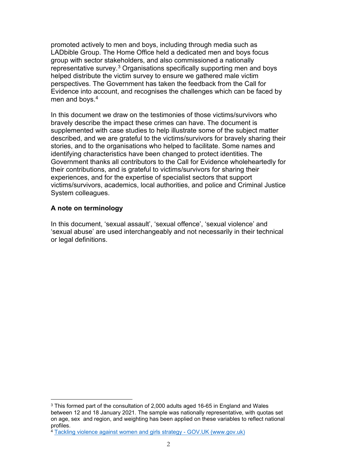promoted actively to men and boys, including through media such as LADbible Group. The Home Office held a dedicated men and boys focus group with sector stakeholders, and also commissioned a nationally representative survey[.3](#page-4-0) Organisations specifically supporting men and boys helped distribute the victim survey to ensure we gathered male victim perspectives. The Government has taken the feedback from the Call for Evidence into account, and recognises the challenges which can be faced by men and boys.<sup>4</sup>

In this document we draw on the testimonies of those victims/survivors who bravely describe the impact these crimes can have. The document is supplemented with case studies to help illustrate some of the subject matter described, and we are grateful to the victims/survivors for bravely sharing their stories, and to the organisations who helped to facilitate. Some names and identifying characteristics have been changed to protect identities. The Government thanks all contributors to the Call for Evidence wholeheartedly for their contributions, and is grateful to victims/survivors for sharing their experiences, and for the expertise of specialist sectors that support victims/survivors, academics, local authorities, and police and Criminal Justice System colleagues.

## **A note on terminology**

In this document, 'sexual assault', 'sexual offence', 'sexual violence' and 'sexual abuse' are used interchangeably and not necessarily in their technical or legal definitions.

<span id="page-4-0"></span><sup>3</sup> This formed part of the consultation of 2,000 adults aged 16-65 in England and Wales between 12 and 18 January 2021. The sample was nationally representative, with quotas set on age, sex and region, and weighting has been applied on these variables to reflect national profiles.

<span id="page-4-1"></span><sup>4</sup> [Tackling violence against women and girls strategy -](https://www.gov.uk/government/publications/tackling-violence-against-women-and-girls-strategy) GOV.UK (www.gov.uk)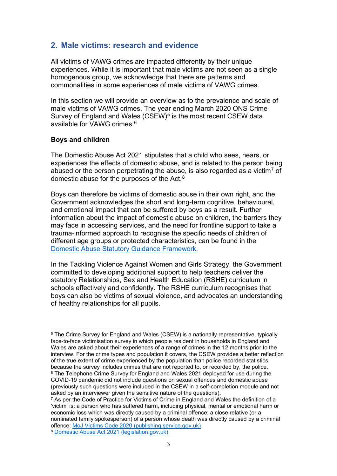## <span id="page-5-0"></span>**2. Male victims: research and evidence**

All victims of VAWG crimes are impacted differently by their unique experiences. While it is important that male victims are not seen as a single homogenous group, we acknowledge that there are patterns and commonalities in some experiences of male victims of VAWG crimes.

In this section we will provide an overview as to the prevalence and scale of male victims of VAWG crimes. The year ending March 2020 ONS Crime Survey of England and Wales (CSEW)<sup>[5](#page-5-1)</sup> is the most recent CSEW data available for VAWG crimes.[6](#page-5-2)

#### **Boys and children**

The Domestic Abuse Act 2021 stipulates that a child who sees, hears, or experiences the effects of domestic abuse, and is related to the person being abused or the person perpetrating the abuse, is also regarded as a victim<sup>[7](#page-5-3)</sup> of domestic abuse for the purposes of the Act.[8](#page-5-4)

Boys can therefore be victims of domestic abuse in their own right, and the Government acknowledges the short and long-term cognitive, behavioural, and emotional impact that can be suffered by boys as a result. Further information about the impact of domestic abuse on children, the barriers they may face in accessing services, and the need for frontline support to take a trauma-informed approach to recognise the specific needs of children of different age groups or protected characteristics, can be found in the [Domestic Abuse Statutory Guidance Framework.](https://www.gov.uk/government/consultations/domestic-abuse-act-statutory-guidance/domestic-abuse-draft-statutory-guidance-framework)

In the Tackling Violence Against Women and Girls Strategy, the Government committed to developing additional support to help teachers deliver the statutory Relationships, Sex and Health Education (RSHE) curriculum in schools effectively and confidently. The RSHE curriculum recognises that boys can also be victims of sexual violence, and advocates an understanding of healthy relationships for all pupils.

<span id="page-5-1"></span><sup>5</sup> The Crime Survey for England and Wales (CSEW) is a nationally representative, typically face-to-face victimisation survey in which people resident in households in England and Wales are asked about their experiences of a range of crimes in the 12 months prior to the interview. For the crime types and population it covers, the CSEW provides a better reflection of the true extent of crime experienced by the population than police recorded statistics, because the survey includes crimes that are not reported to, or recorded by, the police. <sup>6</sup> The Telephone Crime Survey for England and Wales 2021 deployed for use during the COVID-19 pandemic did not include questions on sexual offences and domestic abuse (previously such questions were included in the CSEW in a self-completion module and not asked by an interviewer given the sensitive nature of the questions).

<span id="page-5-4"></span><span id="page-5-3"></span><span id="page-5-2"></span><sup>&</sup>lt;sup>7</sup> As per the Code of Practice for Victims of Crime in England and Wales the definition of a 'victim' is: a person who has suffered harm, including physical, mental or emotional harm or economic loss which was directly caused by a criminal offence; a close relative (or a nominated family spokesperson) of a person whose death was directly caused by a criminal offence: [MoJ Victims Code 2020 \(publishing.service.gov.uk\)](https://assets.publishing.service.gov.uk/government/uploads/system/uploads/attachment_data/file/974376/victims-code-2020.pdf) <sup>8</sup> [Domestic Abuse Act 2021 \(legislation.gov.uk\)](https://www.legislation.gov.uk/ukpga/2021/17/section/3/enacted)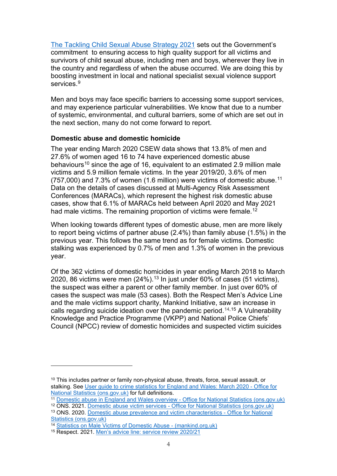[The Tackling Child Sexual Abuse Strategy 2021](https://assets.publishing.service.gov.uk/government/uploads/system/uploads/attachment_data/file/973236/Tackling_Child_Sexual_Abuse_Strategy_2021.pdf) sets out the Government's commitment to ensuring access to high quality support for all victims and survivors of child sexual abuse, including men and boys, wherever they live in the country and regardless of when the abuse occurred. We are doing this by boosting investment in local and national specialist sexual violence support services.<sup>[9](#page-6-0)</sup>

Men and boys may face specific barriers to accessing some support services, and may experience particular vulnerabilities. We know that due to a number of systemic, environmental, and cultural barriers, some of which are set out in the next section, many do not come forward to report.

### **Domestic abuse and domestic homicide**

The year ending March 2020 CSEW data shows that 13.8% of men and 27.6% of women aged 16 to 74 have experienced domestic abuse behaviours<sup>[10](#page-6-1)</sup> since the age of 16, equivalent to an estimated 2.9 million male victims and 5.9 million female victims. In the year 2019/20, 3.6% of men (757,000) and 7.3% of women (1.6 million) were victims of domestic abuse. $^\mathrm{11}$  $^\mathrm{11}$  $^\mathrm{11}$ Data on the details of cases discussed at Multi-Agency Risk Assessment Conferences (MARACs), which represent the highest risk domestic abuse cases, show that 6.1% of MARACs held between April 2020 and May 2021 had male victims. The remaining proportion of victims were female.<sup>[12](#page-6-3)</sup>

When looking towards different types of domestic abuse, men are more likely to report being victims of partner abuse (2.4%) than family abuse (1.5%) in the previous year. This follows the same trend as for female victims. Domestic stalking was experienced by 0.7% of men and 1.3% of women in the previous year.

Of the 362 victims of domestic homicides in year ending March 2018 to March 2020, 86 victims were men (24%). [13](#page-6-4) In just under 60% of cases (51 victims), the suspect was either a parent or other family member. In just over 60% of cases the suspect was male (53 cases). Both the Respect Men's Advice Line and the male victims support charity, Mankind Initiative, saw an increase in calls regarding suicide ideation over the pandemic period. [14](#page-6-5),[15](#page-6-6) A Vulnerability Knowledge and Practice Programme (VKPP) and National Police Chiefs' Council (NPCC) review of domestic homicides and suspected victim suicides

<span id="page-6-1"></span><span id="page-6-0"></span><sup>&</sup>lt;sup>10</sup> This includes partner or family non-physical abuse, threats, force, sexual assault, or stalking. See [User guide to crime statistics for England and Wales: March 2020 -](https://www.ons.gov.uk/peoplepopulationandcommunity/crimeandjustice/methodologies/userguidetocrimestatisticsforenglandandwales) Office for [National Statistics \(ons.gov.uk\)](https://www.ons.gov.uk/peoplepopulationandcommunity/crimeandjustice/methodologies/userguidetocrimestatisticsforenglandandwales) for full definitions.

<span id="page-6-2"></span><sup>11</sup> [Domestic abuse in England and Wales overview -](https://www.ons.gov.uk/peoplepopulationandcommunity/crimeandjustice/bulletins/domesticabuseinenglandandwalesoverview/november2020) Office for National Statistics (ons.gov.uk)

<span id="page-6-4"></span><span id="page-6-3"></span><sup>12</sup> ONS. 2021. Domestic abuse victim services - [Office for National Statistics \(ons.gov.uk\)](https://www.ons.gov.uk/peoplepopulationandcommunity/crimeandjustice/datasets/domesticabusevictimservicesappendixtables) <sup>13</sup> ONS. 2020. [Domestic abuse prevalence and victim characteristics -](https://www.ons.gov.uk/peoplepopulationandcommunity/crimeandjustice/datasets/domesticabuseprevalenceandvictimcharacteristicsappendixtables) Office for National [Statistics \(ons.gov.uk\)](https://www.ons.gov.uk/peoplepopulationandcommunity/crimeandjustice/datasets/domesticabuseprevalenceandvictimcharacteristicsappendixtables)

<sup>14</sup> [Statistics on Male Victims of Domestic Abuse -](https://www.mankind.org.uk/statistics/statistics-on-male-victims-of-domestic-abuse/) (mankind.org.uk)

<span id="page-6-6"></span><span id="page-6-5"></span><sup>15</sup> Respect. 2021. [Men's advice line: service review 2020/21](https://hubble-live-assets.s3.amazonaws.com/respect/file_asset/file/9/Men_s_Advice_Line_service_review_2020-21-compressed.pdf)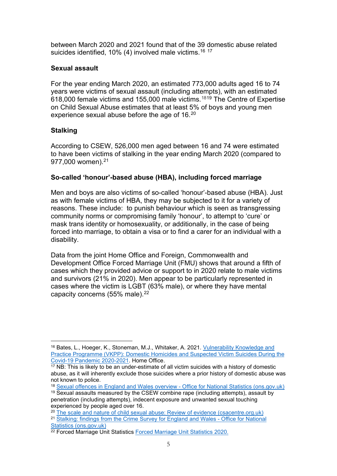between March 2020 and 2021 found that of the 39 domestic abuse related suicides identified, 10% (4) involved male victims.<sup>[16](#page-7-0)\_[17](#page-7-1)</sup>

## **Sexual assault**

For the year ending March 2020, an estimated 773,000 adults aged 16 to 74 years were victims of sexual assault (including attempts), with an estimated 618,000 female victims and 155,000 male victims. [18](#page-7-2)[19](#page-7-3) The Centre of Expertise on Child Sexual Abuse estimates that at least 5% of boys and young men experience sexual abuse before the age of 16. $^{\mathrm{20}}$  $^{\mathrm{20}}$  $^{\mathrm{20}}$ 

## **Stalking**

According to CSEW, 526,000 men aged between 16 and 74 were estimated to have been victims of stalking in the year ending March 2020 (compared to 977,000 women). [21](#page-7-5)

## **So-called 'honour'-based abuse (HBA), including forced marriage**

Men and boys are also victims of so-called 'honour'-based abuse (HBA). Just as with female victims of HBA, they may be subjected to it for a variety of reasons. These include: to punish behaviour which is seen as transgressing community norms or compromising family 'honour', to attempt to 'cure' or mask trans identity or homosexuality, or additionally, in the case of being forced into marriage, to obtain a visa or to find a carer for an individual with a disability.

Data from the joint Home Office and Foreign, Commonwealth and Development Office Forced Marriage Unit (FMU) shows that around a fifth of cases which they provided advice or support to in 2020 relate to male victims and survivors (21% in 2020). Men appear to be particularly represented in cases where the victim is LGBT (63% male), or where they have mental capacity concerns (55% male). [22](#page-7-6)

<span id="page-7-0"></span><sup>&</sup>lt;sup>16</sup> Bates, L., Hoeger, K., Stoneman, M.J., Whitaker, A. 2021. Vulnerability Knowledge and [Practice Programme \(VKPP\): Domestic Homicides and Suspected Victim Suicides During the](https://assets.publishing.service.gov.uk/government/uploads/system/uploads/attachment_data/file/1013128/Domestic_homicides_and_suspected_victim_suicides_during_the_Covid-19_Pandemic_2020-2021.pdf)  [Covid-19 Pandemic 2020-2021.](https://assets.publishing.service.gov.uk/government/uploads/system/uploads/attachment_data/file/1013128/Domestic_homicides_and_suspected_victim_suicides_during_the_Covid-19_Pandemic_2020-2021.pdf) Home Office.

<span id="page-7-1"></span><sup>&</sup>lt;sup>17</sup> NB: This is likely to be an under-estimate of all victim suicides with a history of domestic abuse, as it will inherently exclude those suicides where a prior history of domestic abuse was not known to police.

<span id="page-7-3"></span><span id="page-7-2"></span><sup>18</sup> [Sexual offences in England and Wales overview -](https://www.ons.gov.uk/peoplepopulationandcommunity/crimeandjustice/bulletins/sexualoffencesinenglandandwalesoverview/march2020) Office for National Statistics (ons.gov.uk) <sup>19</sup> Sexual assaults measured by the CSEW combine rape (including attempts), assault by penetration (including attempts), indecent exposure and unwanted sexual touching experienced by people aged over 16.

<span id="page-7-4"></span><sup>20</sup> [The scale and nature of child sexual abuse: Review of evidence \(csacentre.org.uk\)](https://www.csacentre.org.uk/documents/scale-nature-review-evidence-0621/)

<span id="page-7-5"></span><sup>&</sup>lt;sup>21</sup> [Stalking: findings from the Crime Survey for England and Wales -](https://www.ons.gov.uk/peoplepopulationandcommunity/crimeandjustice/datasets/stalkingfindingsfromthecrimesurveyforenglandandwales) Office for National [Statistics \(ons.gov.uk\)](https://www.ons.gov.uk/peoplepopulationandcommunity/crimeandjustice/datasets/stalkingfindingsfromthecrimesurveyforenglandandwales)

<span id="page-7-6"></span><sup>22</sup> Forced Marriage Unit Statistics [Forced Marriage Unit Statistics 2020.](https://www.gov.uk/government/statistics/forced-marriage-unit-statistics-2020/forced-marriage-unit-statistics-2020)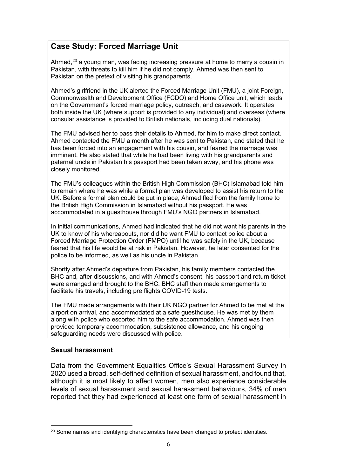# **Case Study: Forced Marriage Unit**

Ahmed, [23](#page-8-0) a young man, was facing increasing pressure at home to marry a cousin in Pakistan, with threats to kill him if he did not comply. Ahmed was then sent to Pakistan on the pretext of visiting his grandparents.

Ahmed's girlfriend in the UK alerted the Forced Marriage Unit (FMU), a joint Foreign, Commonwealth and Development Office (FCDO) and Home Office unit, which leads on the Government's forced marriage policy, outreach, and casework. It operates both inside the UK (where support is provided to any individual) and overseas (where consular assistance is provided to British nationals, including dual nationals).

The FMU advised her to pass their details to Ahmed, for him to make direct contact. Ahmed contacted the FMU a month after he was sent to Pakistan, and stated that he has been forced into an engagement with his cousin, and feared the marriage was imminent. He also stated that while he had been living with his grandparents and paternal uncle in Pakistan his passport had been taken away, and his phone was closely monitored.

The FMU's colleagues within the British High Commission (BHC) Islamabad told him to remain where he was while a formal plan was developed to assist his return to the UK. Before a formal plan could be put in place, Ahmed fled from the family home to the British High Commission in Islamabad without his passport. He was accommodated in a guesthouse through FMU's NGO partners in Islamabad.

In initial communications, Ahmed had indicated that he did not want his parents in the UK to know of his whereabouts, nor did he want FMU to contact police about a Forced Marriage Protection Order (FMPO) until he was safely in the UK, because feared that his life would be at risk in Pakistan. However, he later consented for the police to be informed, as well as his uncle in Pakistan.

Shortly after Ahmed's departure from Pakistan, his family members contacted the BHC and, after discussions, and with Ahmed's consent, his passport and return ticket were arranged and brought to the BHC. BHC staff then made arrangements to facilitate his travels, including pre flights COVID-19 tests.

The FMU made arrangements with their UK NGO partner for Ahmed to be met at the airport on arrival, and accommodated at a safe guesthouse. He was met by them along with police who escorted him to the safe accommodation. Ahmed was then provided temporary accommodation, subsistence allowance, and his ongoing safeguarding needs were discussed with police.

#### **Sexual harassment**

Data from the Government Equalities Office's Sexual Harassment Survey in 2020 used a broad, self-defined definition of sexual harassment, and found that, although it is most likely to affect women, men also experience considerable levels of sexual harassment and sexual harassment behaviours, 34% of men reported that they had experienced at least one form of sexual harassment in

<span id="page-8-0"></span> $23$  Some names and identifying characteristics have been changed to protect identities.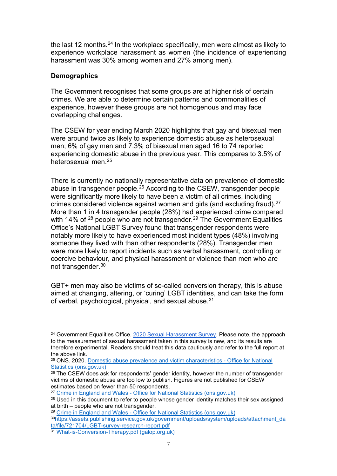the last 12 months.<sup>[24](#page-9-0)</sup> In the workplace specifically, men were almost as likely to experience workplace harassment as women (the incidence of experiencing harassment was 30% among women and 27% among men).

## **Demographics**

The Government recognises that some groups are at higher risk of certain crimes. We are able to determine certain patterns and commonalities of experience, however these groups are not homogenous and may face overlapping challenges.

The CSEW for year ending March 2020 highlights that gay and bisexual men were around twice as likely to experience domestic abuse as heterosexual men; 6% of gay men and 7.3% of bisexual men aged 16 to 74 reported experiencing domestic abuse in the previous year. This compares to 3.5% of heterosexual men.[25](#page-9-1)

There is currently no nationally representative data on prevalence of domestic abuse in transgender people. [26](#page-9-2) According to the CSEW, transgender people were significantly more likely to have been a victim of all crimes, including crimes considered violence against women and girls (and excluding fraud).[27](#page-9-3) More than 1 in 4 transgender people (28%) had experienced crime compared with 14% of <sup>[28](#page-9-4)</sup> people who are not transgender.<sup>[29](#page-9-5)</sup> The Government Equalities Office's National LGBT Survey found that transgender respondents were notably more likely to have experienced most incident types (48%) involving someone they lived with than other respondents (28%). Transgender men were more likely to report incidents such as verbal harassment, controlling or coercive behaviour, and physical harassment or violence than men who are not transgender. [30](#page-9-6)

GBT+ men may also be victims of so-called conversion therapy, this is abuse aimed at changing, altering, or 'curing' LGBT identities, and can take the form of verbal, psychological, physical, and sexual abuse.<sup>[31](#page-9-7)</sup>

<span id="page-9-5"></span><sup>29</sup> Crime in England and Wales - [Office for National Statistics \(ons.gov.uk\)](https://www.ons.gov.uk/peoplepopulationandcommunity/crimeandjustice/bulletins/crimeinenglandandwales/yearendingmarch2020)

<span id="page-9-6"></span>3[0https://assets.publishing.service.gov.uk/government/uploads/system/uploads/attachment\\_da](https://assets.publishing.service.gov.uk/government/uploads/system/uploads/attachment_data/file/721704/LGBT-survey-research-report.pdf) [ta/file/721704/LGBT-survey-research-report.pdf](https://assets.publishing.service.gov.uk/government/uploads/system/uploads/attachment_data/file/721704/LGBT-survey-research-report.pdf)

<span id="page-9-0"></span><sup>&</sup>lt;sup>24</sup> Government Equalities Office, [2020 Sexual Harassment Survey.](https://assets.publishing.service.gov.uk/government/uploads/system/uploads/attachment_data/file/1002873/2021-07-12_Sexual_Harassment_Report_FINAL.pdf) Please note, the approach to the measurement of sexual harassment taken in this survey is new, and its results are therefore experimental. Readers should treat this data cautiously and refer to the full report at the above link.

<span id="page-9-1"></span><sup>25</sup> ONS. 2020. [Domestic abuse prevalence and victim characteristics -](https://www.ons.gov.uk/peoplepopulationandcommunity/crimeandjustice/datasets/domesticabuseprevalenceandvictimcharacteristicsappendixtables) Office for National [Statistics \(ons.gov.uk\)](https://www.ons.gov.uk/peoplepopulationandcommunity/crimeandjustice/datasets/domesticabuseprevalenceandvictimcharacteristicsappendixtables)

<span id="page-9-2"></span><sup>&</sup>lt;sup>26</sup> The CSEW does ask for respondents' gender identity, however the number of transgender victims of domestic abuse are too low to publish. Figures are not published for CSEW estimates based on fewer than 50 respondents.

<span id="page-9-3"></span><sup>27</sup> Crime in England and Wales - [Office for National Statistics \(ons.gov.uk\)](https://www.ons.gov.uk/peoplepopulationandcommunity/crimeandjustice/bulletins/crimeinenglandandwales/yearendingmarch2020)

<span id="page-9-4"></span><sup>&</sup>lt;sup>28</sup> Used in this document to refer to people whose gender identity matches their sex assigned at birth – people who are not transgender.

<span id="page-9-7"></span><sup>31</sup> [What-is-Conversion-Therapy.pdf \(galop.org.uk\)](https://galop.org.uk/wp-content/uploads/2021/10/What-is-Conversion-Therapy.pdf)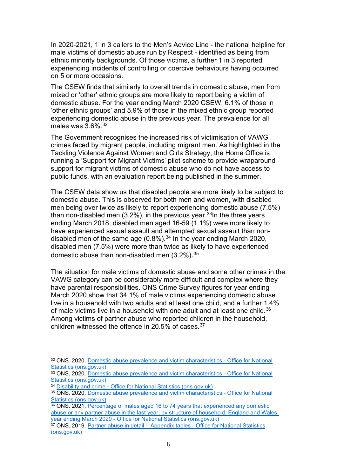In 2020-2021, 1 in 3 callers to the Men's Advice Line - the national helpline for male victims of domestic abuse run by Respect - identified as being from ethnic minority backgrounds. Of those victims, a further 1 in 3 reported experiencing incidents of controlling or coercive behaviours having occurred on 5 or more occasions.

The CSEW finds that similarly to overall trends in domestic abuse, men from mixed or 'other' ethnic groups are more likely to report being a victim of domestic abuse. For the year ending March 2020 CSEW, 6.1% of those in 'other ethnic groups' and 5.9% of those in the mixed ethnic group reported experiencing domestic abuse in the previous year. The prevalence for all males was  $3.6\%$ .  $32$ 

The Government recognises the increased risk of victimisation of VAWG crimes faced by migrant people, including migrant men. As highlighted in the Tackling Violence Against Women and Girls Strategy, the Home Office is running a 'Support for Migrant Victims' pilot scheme to provide wraparound support for migrant victims of domestic abuse who do not have access to public funds, with an evaluation report being published in the summer.

The CSEW data show us that disabled people are more likely to be subject to domestic abuse. This is observed for both men and women, with disabled men being over twice as likely to report experiencing domestic abuse (7.5%) than non-disabled men (3.2%), in the previous year. [33I](#page-10-1)n the three years ending March 2018, disabled men aged 16-59 (1.1%) were more likely to have experienced sexual assault and attempted sexual assault than nondisabled men of the same age  $(0.8\%)$ .<sup>[34](#page-10-2)</sup> In the year ending March 2020, disabled men (7.5%) were more than twice as likely to have experienced domestic abuse than non-disabled men  $(3.2\%)$ .  $35$ 

The situation for male victims of domestic abuse and some other crimes in the VAWG category can be considerably more difficult and complex where they have parental responsibilities. ONS Crime Survey figures for year ending March 2020 show that 34.1% of male victims experiencing domestic abuse live in a household with two adults and at least one child, and a further 1.4% of male victims live in a household with one adult and at least one child. $^{36}$  $^{36}$  $^{36}$ Among victims of partner abuse who reported children in the household, children witnessed the offence in 20.5% of cases. [37](#page-10-5)

<span id="page-10-0"></span><sup>32</sup> ONS. 2020. [Domestic abuse prevalence and victim characteristics -](https://www.ons.gov.uk/peoplepopulationandcommunity/crimeandjustice/datasets/domesticabuseprevalenceandvictimcharacteristicsappendixtables) Office for National [Statistics \(ons.gov.uk\)](https://www.ons.gov.uk/peoplepopulationandcommunity/crimeandjustice/datasets/domesticabuseprevalenceandvictimcharacteristicsappendixtables)

<span id="page-10-1"></span><sup>33</sup> ONS. 2020. [Domestic abuse prevalence and victim characteristics -](https://www.ons.gov.uk/peoplepopulationandcommunity/crimeandjustice/datasets/domesticabuseprevalenceandvictimcharacteristicsappendixtables) Office for National [Statistics \(ons.gov.uk\)](https://www.ons.gov.uk/peoplepopulationandcommunity/crimeandjustice/datasets/domesticabuseprevalenceandvictimcharacteristicsappendixtables)

<span id="page-10-2"></span><sup>34</sup> Disability and crime - [Office for National Statistics \(ons.gov.uk\)](https://www.ons.gov.uk/peoplepopulationandcommunity/healthandsocialcare/disability/datasets/disabilityandcrime)

<span id="page-10-3"></span><sup>35</sup> ONS. 2020. [Domestic abuse prevalence and victim characteristics -](https://www.ons.gov.uk/peoplepopulationandcommunity/crimeandjustice/datasets/domesticabuseprevalenceandvictimcharacteristicsappendixtables) Office for National [Statistics \(ons.gov.uk\)](https://www.ons.gov.uk/peoplepopulationandcommunity/crimeandjustice/datasets/domesticabuseprevalenceandvictimcharacteristicsappendixtables)

<span id="page-10-4"></span><sup>36</sup> ONS. 2021. [Percentage of males aged 16 to 74 years that experienced any domestic](https://www.ons.gov.uk/peoplepopulationandcommunity/crimeandjustice/adhocs/14256percentageofmalesaged16to74thatexperiencedanydomesticabuseoranypartnerabuseinthelastyearbystructureofhouseholdenglandandwalesyearendingmarch2020)  [abuse or any partner abuse in the last year, by structure of household, England and Wales,](https://www.ons.gov.uk/peoplepopulationandcommunity/crimeandjustice/adhocs/14256percentageofmalesaged16to74thatexperiencedanydomesticabuseoranypartnerabuseinthelastyearbystructureofhouseholdenglandandwalesyearendingmarch2020)  year ending March 2020 - [Office for National Statistics \(ons.gov.uk\)](https://www.ons.gov.uk/peoplepopulationandcommunity/crimeandjustice/adhocs/14256percentageofmalesaged16to74thatexperiencedanydomesticabuseoranypartnerabuseinthelastyearbystructureofhouseholdenglandandwalesyearendingmarch2020)

<span id="page-10-5"></span><sup>&</sup>lt;sup>37</sup> ONS. 2019. Partner abuse in detail – Appendix tables - Office for National Statistics [\(ons.gov.uk\)](https://www.ons.gov.uk/peoplepopulationandcommunity/crimeandjustice/datasets/partnerabuseindetailappendixtables)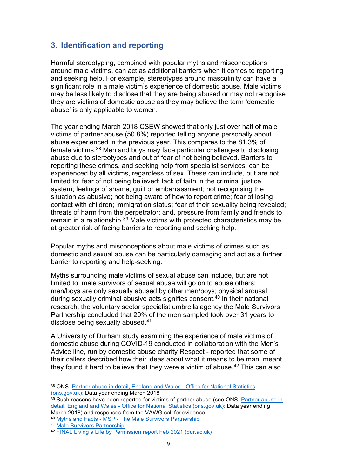# <span id="page-11-0"></span>**3. Identification and reporting**

Harmful stereotyping, combined with popular myths and misconceptions around male victims, can act as additional barriers when it comes to reporting and seeking help. For example, stereotypes around masculinity can have a significant role in a male victim's experience of domestic abuse. Male victims may be less likely to disclose that they are being abused or may not recognise they are victims of domestic abuse as they may believe the term 'domestic abuse' is only applicable to women.

The year ending March 2018 CSEW showed that only just over half of male victims of partner abuse (50.8%) reported telling anyone personally about abuse experienced in the previous year. This compares to the 81.3% of female victims. [38](#page-11-1) Men and boys may face particular challenges to disclosing abuse due to stereotypes and out of fear of not being believed. Barriers to reporting these crimes, and seeking help from specialist services, can be experienced by all victims, regardless of sex. These can include, but are not limited to: fear of not being believed; lack of faith in the criminal justice system; feelings of shame, guilt or embarrassment; not recognising the situation as abusive; not being aware of how to report crime; fear of losing contact with children; immigration status; fear of their sexuality being revealed; threats of harm from the perpetrator; and, pressure from family and friends to remain in a relationship. [39](#page-11-2) Male victims with protected characteristics may be at greater risk of facing barriers to reporting and seeking help.

Popular myths and misconceptions about male victims of crimes such as domestic and sexual abuse can be particularly damaging and act as a further barrier to reporting and help-seeking.

Myths surrounding male victims of sexual abuse can include, but are not limited to: male survivors of sexual abuse will go on to abuse others; men/boys are only sexually abused by other men/boys; physical arousal during sexually criminal abusive acts signifies consent. [40](#page-11-3) In their national research, the voluntary sector specialist umbrella agency the Male Survivors Partnership concluded that 20% of the men sampled took over 31 years to disclose being sexually abused.[41](#page-11-4)

A University of Durham study examining the experience of male victims of domestic abuse during COVID-19 conducted in collaboration with the Men's Advice line, run by domestic abuse charity Respect - reported that some of their callers described how their ideas about what it means to be man, meant they found it hard to believe that they were a victim of abuse. [42](#page-11-5) This can also

<span id="page-11-1"></span><sup>38</sup> ONS. [Partner abuse in detail, England and Wales -](https://www.ons.gov.uk/peoplepopulationandcommunity/crimeandjustice/articles/partnerabuseindetailenglandandwales/yearendingmarch2018) Office for National Statistics [\(ons.gov.uk\):](https://www.ons.gov.uk/peoplepopulationandcommunity/crimeandjustice/articles/partnerabuseindetailenglandandwales/yearendingmarch2018) Data year ending March 2018

<span id="page-11-2"></span> $39$  Such reasons have been reported for victims of partner abuse (see ONS. Partner abuse in detail, England and Wales - [Office for National Statistics \(ons.gov.uk\):](https://www.ons.gov.uk/peoplepopulationandcommunity/crimeandjustice/articles/partnerabuseindetailenglandandwales/yearendingmarch2018) Data year ending March 2018) and responses from the VAWG call for evidence.

<span id="page-11-3"></span><sup>40</sup> Myths and Facts - MSP - [The Male Survivors Partnership](https://malesurvivor.co.uk/support-for-male-survivors/myths-and-facts/)

<span id="page-11-4"></span><sup>41</sup> [Male Survivors Partnership](https://malesurvivor.co.uk/)

<span id="page-11-5"></span><sup>42</sup> [FINAL Living a Life by Permission report Feb 2021 \(dur.ac.uk\)](https://www.dur.ac.uk/resources/criva/LivingALifeByPermission.pdf)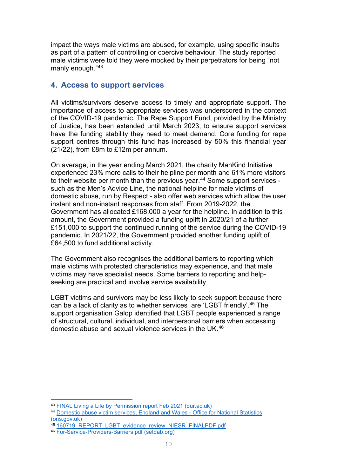impact the ways male victims are abused, for example, using specific insults as part of a pattern of controlling or coercive behaviour. The study reported male victims were told they were mocked by their perpetrators for being "not manly enough."[43](#page-12-1)

# <span id="page-12-0"></span>**4. Access to support services**

All victims/survivors deserve access to timely and appropriate support. The importance of access to appropriate services was underscored in the context of the COVID-19 pandemic. The Rape Support Fund, provided by the Ministry of Justice, has been extended until March 2023, to ensure support services have the funding stability they need to meet demand. Core funding for rape support centres through this fund has increased by 50% this financial year (21/22), from £8m to £12m per annum.

On average, in the year ending March 2021, the charity ManKind Initiative experienced 23% more calls to their helpline per month and 61% more visitors to their website per month than the previous year.<sup>[44](#page-12-2)</sup> Some support services such as the Men's Advice Line, the national helpline for male victims of domestic abuse, run by Respect - also offer web services which allow the user instant and non-instant responses from staff. From 2019-2022, the Government has allocated £168,000 a year for the helpline. In addition to this amount, the Government provided a funding uplift in 2020/21 of a further £151,000 to support the continued running of the service during the COVID-19 pandemic. In 2021/22, the Government provided another funding uplift of £64,500 to fund additional activity.

The Government also recognises the additional barriers to reporting which male victims with protected characteristics may experience, and that male victims may have specialist needs. Some barriers to reporting and helpseeking are practical and involve service availability.

LGBT victims and survivors may be less likely to seek support because there can be a lack of clarity as to whether services are 'LGBT friendly'. [45](#page-12-3) The support organisation Galop identified that LGBT people experienced a range of structural, cultural, individual, and interpersonal barriers when accessing domestic abuse and sexual violence services in the UK.[46](#page-12-4)

<span id="page-12-1"></span><sup>43</sup> [FINAL Living a Life by Permission report Feb 2021 \(dur.ac.uk\)](https://www.dur.ac.uk/resources/criva/LivingALifeByPermission.pdf)

<span id="page-12-2"></span><sup>44</sup> [Domestic abuse victim services, England and Wales -](https://www.ons.gov.uk/peoplepopulationandcommunity/crimeandjustice/articles/domesticabusevictimservicesenglandandwales/november2021) Office for National Statistics [\(ons.gov.uk\)](https://www.ons.gov.uk/peoplepopulationandcommunity/crimeandjustice/articles/domesticabusevictimservicesenglandandwales/november2021)

<span id="page-12-3"></span><sup>&</sup>lt;sup>45</sup> [160719\\_REPORT\\_LGBT\\_evidence\\_review\\_NIESR\\_FINALPDF.pdf](https://www.niesr.ac.uk/wp-content/uploads/2021/10/160719_REPORT_LGBT_evidence_review_NIESR_FINALPDF.pdf)

<span id="page-12-4"></span><sup>46</sup> [For-Service-Providers-Barriers.pdf \(setdab.org\)](https://setdab.org/wp-content/uploads/2019/09/For-Service-Providers-Barriers-for-LGBT-Victims.pdf)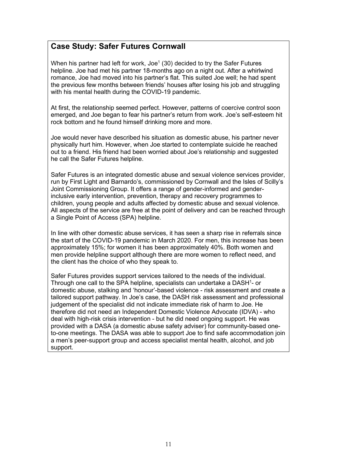# **Case Study: Safer Futures Cornwall**

When his partner had left for work, Joe<sup>1</sup> (30) decided to try the Safer Futures helpline. Joe had met his partner 18-months ago on a night out. After a whirlwind romance, Joe had moved into his partner's flat. This suited Joe well; he had spent the previous few months between friends' houses after losing his job and struggling with his mental health during the COVID-19 pandemic.

At first, the relationship seemed perfect. However, patterns of coercive control soon emerged, and Joe began to fear his partner's return from work. Joe's self-esteem hit rock bottom and he found himself drinking more and more.

Joe would never have described his situation as domestic abuse, his partner never physically hurt him. However, when Joe started to contemplate suicide he reached out to a friend. His friend had been worried about Joe's relationship and suggested he call the Safer Futures helpline.

Safer Futures is an integrated domestic abuse and sexual violence services provider, run by First Light and Barnardo's, commissioned by Cornwall and the Isles of Scilly's Joint Commissioning Group. It offers a range of gender-informed and genderinclusive early intervention, prevention, therapy and recovery programmes to children, young people and adults affected by domestic abuse and sexual violence. All aspects of the service are free at the point of delivery and can be reached through a Single Point of Access (SPA) helpline.

In line with other domestic abuse services, it has seen a sharp rise in referrals since the start of the COVID-19 pandemic in March 2020. For men, this increase has been approximately 15%; for women it has been approximately 40%. Both women and men provide helpline support although there are more women to reflect need, and the client has the choice of who they speak to.

Safer Futures provides support services tailored to the needs of the individual. Through one call to the SPA helpline, specialists can undertake a DASH<sup>1</sup>- or domestic abuse, stalking and 'honour'-based violence - risk assessment and create a tailored support pathway. In Joe's case, the DASH risk assessment and professional judgement of the specialist did not indicate immediate risk of harm to Joe. He therefore did not need an Independent Domestic Violence Advocate (IDVA) - who deal with high-risk crisis intervention - but he did need ongoing support. He was provided with a DASA (a domestic abuse safety adviser) for community-based oneto-one meetings. The DASA was able to support Joe to find safe accommodation join a men's peer-support group and access specialist mental health, alcohol, and job support.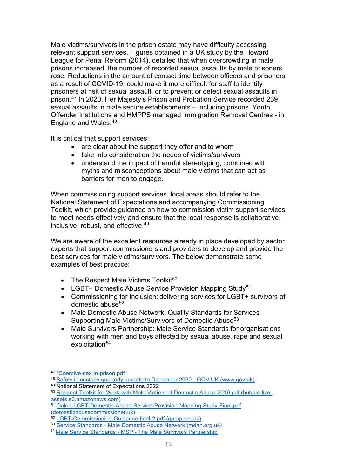Male victims/survivors in the prison estate may have difficulty accessing relevant support services. Figures obtained in a UK study by the Howard League for Penal Reform (2014), detailed that when overcrowding in male prisons increased, the number of recorded sexual assaults by male prisoners rose. Reductions in the amount of contact time between officers and prisoners as a result of COVID-19, could make it more difficult for staff to identify prisoners at risk of sexual assault, or to prevent or detect sexual assaults in prison.[47](#page-14-0) In 2020, Her Majesty's Prison and Probation Service recorded 239 sexual assaults in male secure establishments – including prisons, Youth Offender Institutions and HMPPS managed Immigration Removal Centres - in England and Wales.[48](#page-14-1) 

It is critical that support services:

- are clear about the support they offer and to whom
- take into consideration the needs of victims/survivors
- understand the impact of harmful stereotyping, combined with myths and misconceptions about male victims that can act as barriers for men to engage.

When commissioning support services, local areas should refer to the National Statement of Expectations and accompanying Commissioning Toolkit, which provide guidance on how to commission victim support services to meet needs effectively and ensure that the local response is collaborative, inclusive, robust, and effective.[49](#page-14-2)

We are aware of the excellent resources already in place developed by sector experts that support commissioners and providers to develop and provide the best services for male victims/survivors. The below demonstrate some examples of best practice:

- The Respect Male Victims Toolkit $50$
- LGBT+ Domestic Abuse Service Provision Mapping Study<sup>[51](#page-14-4)</sup>
- Commissioning for Inclusion: delivering services for LGBT+ survivors of domestic abuse $52$
- Male Domestic Abuse Network: Quality Standards for Services Supporting Male Victims/Survivors of Domestic Abuse<sup>[53](#page-14-6)</sup>
- Male Survivors Partnership: Male Service Standards for organisations working with men and boys affected by sexual abuse, rape and sexual exploitation<sup>[54](#page-14-7)</sup>

<span id="page-14-0"></span><sup>47</sup> \*Coercive-sex-in-prison.pdf

<span id="page-14-1"></span><sup>48</sup> [Safety in custody quarterly: update to December 2020 -](https://www.gov.uk/government/statistics/safety-in-custody-quarterly-update-to-december-2020) GOV.UK (www.gov.uk) <sup>49</sup> National Statement of Expectations 2022

<span id="page-14-3"></span><span id="page-14-2"></span><sup>50</sup> [Respect-Toolkit-for-Work-with-Male-Victims-of-Domestic-Abuse-2019.pdf \(hubble-live](https://hubble-live-assets.s3.amazonaws.com/respect/file_asset/file/24/Respect-Toolkit-for-Work-with-Male-Victims-of-Domestic-Abuse-2019.pdf)[assets.s3.amazonaws.com\)](https://hubble-live-assets.s3.amazonaws.com/respect/file_asset/file/24/Respect-Toolkit-for-Work-with-Male-Victims-of-Domestic-Abuse-2019.pdf)

<span id="page-14-4"></span><sup>51</sup> [Galop-LGBT-Domestic-Abuse-Service-Provision-Mapping-Study-Final.pdf](https://domesticabusecommissioner.uk/wp-content/uploads/2021/11/Galop-LGBT-Domestic-Abuse-Service-Provision-Mapping-Study-Final.pdf)  [\(domesticabusecommissioner.uk\)](https://domesticabusecommissioner.uk/wp-content/uploads/2021/11/Galop-LGBT-Domestic-Abuse-Service-Provision-Mapping-Study-Final.pdf)

<span id="page-14-5"></span><sup>52</sup> [LGBT-Commissioning-Guidance-final-2.pdf \(galop.org.uk\)](https://galop.org.uk/wp-content/uploads/2021/05/LGBT-Commissioning-Guidance-final-2.pdf)

<span id="page-14-6"></span><sup>53</sup> Service Standards - [Male Domestic Abuse Network \(mdan.org.uk\)](https://mdan.org.uk/service-standards/)

<span id="page-14-7"></span><sup>54</sup> Male Service Standards - MSP - [The Male Survivors Partnership](https://malesurvivor.co.uk/male-service-standards/)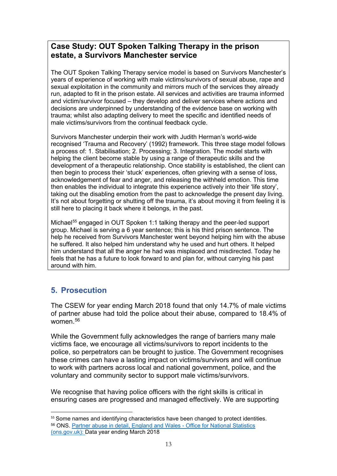# **Case Study: OUT Spoken Talking Therapy in the prison estate, a Survivors Manchester service**

The OUT Spoken Talking Therapy service model is based on Survivors Manchester's years of experience of working with male victims/survivors of sexual abuse, rape and sexual exploitation in the community and mirrors much of the services they already run, adapted to fit in the prison estate. All services and activities are trauma informed and victim/survivor focused – they develop and deliver services where actions and decisions are underpinned by understanding of the evidence base on working with trauma; whilst also adapting delivery to meet the specific and identified needs of male victims/survivors from the continual feedback cycle.

Survivors Manchester underpin their work with Judith Herman's world-wide recognised 'Trauma and Recovery' (1992) framework. This three stage model follows a process of: 1. Stabilisation; 2. Processing; 3. Integration. The model starts with helping the client become stable by using a range of therapeutic skills and the development of a therapeutic relationship. Once stability is established, the client can then begin to process their 'stuck' experiences, often grieving with a sense of loss, acknowledgement of fear and anger, and releasing the withheld emotion. This time then enables the individual to integrate this experience actively into their 'life story', taking out the disabling emotion from the past to acknowledge the present day living. It's not about forgetting or shutting off the trauma, it's about moving it from feeling it is still here to placing it back where it belongs, in the past.

Michael<sup>[55](#page-15-1)</sup> engaged in OUT Spoken 1:1 talking therapy and the peer-led support group. Michael is serving a 6 year sentence; this is his third prison sentence. The help he received from Survivors Manchester went beyond helping him with the abuse he suffered. It also helped him understand why he used and hurt others. It helped him understand that all the anger he had was misplaced and misdirected. Today he feels that he has a future to look forward to and plan for, without carrying his past around with him.

# <span id="page-15-0"></span>**5. Prosecution**

The CSEW for year ending March 2018 found that only 14.7% of male victims of partner abuse had told the police about their abuse, compared to 18.4% of women. [56](#page-15-2)

While the Government fully acknowledges the range of barriers many male victims face, we encourage all victims/survivors to report incidents to the police, so perpetrators can be brought to justice. The Government recognises these crimes can have a lasting impact on victims/survivors and will continue to work with partners across local and national government, police, and the voluntary and community sector to support male victims/survivors.

We recognise that having police officers with the right skills is critical in ensuring cases are progressed and managed effectively. We are supporting

<span id="page-15-2"></span><span id="page-15-1"></span><sup>&</sup>lt;sup>55</sup> Some names and identifying characteristics have been changed to protect identities. <sup>56</sup> ONS. [Partner abuse in detail, England and Wales -](https://www.ons.gov.uk/peoplepopulationandcommunity/crimeandjustice/articles/partnerabuseindetailenglandandwales/yearendingmarch2018) Office for National Statistics [\(ons.gov.uk\):](https://www.ons.gov.uk/peoplepopulationandcommunity/crimeandjustice/articles/partnerabuseindetailenglandandwales/yearendingmarch2018) Data year ending March 2018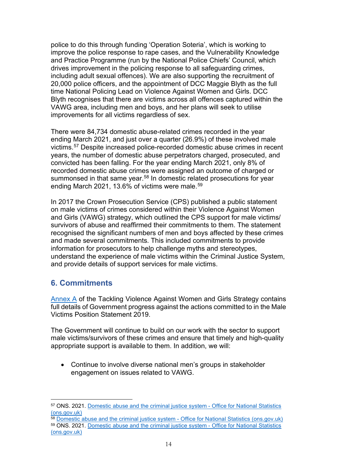police to do this through funding 'Operation Soteria', which is working to improve the police response to rape cases, and the Vulnerability Knowledge and Practice Programme (run by the National Police Chiefs' Council, which drives improvement in the policing response to all safeguarding crimes, including adult sexual offences). We are also supporting the recruitment of 20,000 police officers, and the appointment of DCC Maggie Blyth as the full time National Policing Lead on Violence Against Women and Girls. DCC Blyth recognises that there are victims across all offences captured within the VAWG area, including men and boys, and her plans will seek to utilise improvements for all victims regardless of sex.

There were 84,734 domestic abuse-related crimes recorded in the year ending March 2021, and just over a quarter (26.9%) of these involved male victims. [57](#page-16-1) Despite increased police-recorded domestic abuse crimes in recent years, the number of domestic abuse perpetrators charged, prosecuted, and convicted has been falling. For the year ending March 2021, only 8% of recorded domestic abuse crimes were assigned an outcome of charged or summonsed in that same year. [58](#page-16-2) In domestic related prosecutions for year ending March 2021, 13.6% of victims were male. [59](#page-16-3)

In 2017 the Crown Prosecution Service (CPS) published a public statement on male victims of crimes considered within their Violence Against Women and Girls (VAWG) strategy, which outlined the CPS support for male victims/ survivors of abuse and reaffirmed their commitments to them. The statement recognised the significant numbers of men and boys affected by these crimes and made several commitments. This included commitments to provide information for prosecutors to help challenge myths and stereotypes, understand the experience of male victims within the Criminal Justice System, and provide details of support services for male victims.

## <span id="page-16-0"></span>**6. Commitments**

[Annex A](file://Poise.Homeoffice.Local/Home/HMC/Users/CaseyE/My%20Documents/Men%20and%20Boys/Research/Annex_A_-_Tackling_Violence_Against_Women_and_Girls_Strategy_-_June_2021.pdf) of the Tackling Violence Against Women and Girls Strategy contains full details of Government progress against the actions committed to in the Male Victims Position Statement 2019.

The Government will continue to build on our work with the sector to support male victims/survivors of these crimes and ensure that timely and high-quality appropriate support is available to them. In addition, we will:

• Continue to involve diverse national men's groups in stakeholder engagement on issues related to VAWG.

<span id="page-16-1"></span><sup>57</sup> ONS. 2021. [Domestic abuse and the criminal justice system -](https://www.ons.gov.uk/peoplepopulationandcommunity/crimeandjustice/datasets/domesticabuseandthecriminaljusticesystemappendixtables) Office for National Statistics [\(ons.gov.uk\)](https://www.ons.gov.uk/peoplepopulationandcommunity/crimeandjustice/datasets/domesticabuseandthecriminaljusticesystemappendixtables)

<span id="page-16-3"></span><span id="page-16-2"></span><sup>&</sup>lt;sup>58</sup> [Domestic abuse and the criminal justice system -](https://www.ons.gov.uk/peoplepopulationandcommunity/crimeandjustice/datasets/domesticabuseandthecriminaljusticesystemappendixtables) Office for National Statistics (ons.gov.uk) <sup>59</sup> ONS. 2021. [Domestic abuse and the criminal justice system -](https://www.ons.gov.uk/peoplepopulationandcommunity/crimeandjustice/datasets/domesticabuseandthecriminaljusticesystemappendixtables) Office for National Statistics [\(ons.gov.uk\)](https://www.ons.gov.uk/peoplepopulationandcommunity/crimeandjustice/datasets/domesticabuseandthecriminaljusticesystemappendixtables)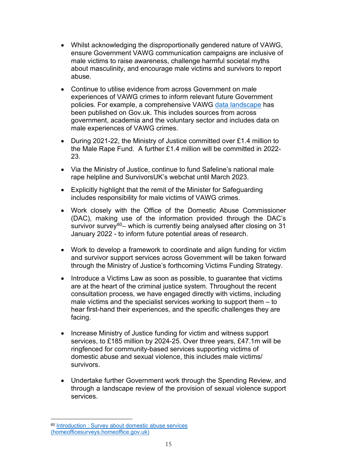- Whilst acknowledging the disproportionally gendered nature of VAWG, ensure Government VAWG communication campaigns are inclusive of male victims to raise awareness, challenge harmful societal myths about masculinity, and encourage male victims and survivors to report abuse.
- Continue to utilise evidence from across Government on male experiences of VAWG crimes to inform relevant future Government policies. For example, a comprehensive [VAWG data landscape](https://www.ons.gov.uk/peoplepopulationandcommunity/crimeandjustice/datasets/violenceagainstwomenandgirlsdatalandscape) has been published on Gov.uk. This includes sources from across government, academia and the voluntary sector and includes data on male experiences of VAWG crimes.
- During 2021-22, the Ministry of Justice committed over £1.4 million to the Male Rape Fund. A further £1.4 million will be committed in 2022- 23.
- Via the Ministry of Justice, continue to fund Safeline's national male rape helpline and SurvivorsUK's webchat until March 2023.
- Explicitly highlight that the remit of the Minister for Safeguarding includes responsibility for male victims of VAWG crimes.
- Work closely with the Office of the Domestic Abuse Commissioner (DAC), making use of the information provided through the DAC's survivor survey<sup>60</sup>- which is currently being analysed after closing on 31 January 2022 - to inform future potential areas of research.
- Work to develop a framework to coordinate and align funding for victim and survivor support services across Government will be taken forward through the Ministry of Justice's forthcoming Victims Funding Strategy.
- Introduce a Victims Law as soon as possible, to guarantee that victims are at the heart of the criminal justice system. Throughout the recent consultation process, we have engaged directly with victims, including male victims and the specialist services working to support them – to hear first-hand their experiences, and the specific challenges they are facing.
- Increase Ministry of Justice funding for victim and witness support services, to £185 million by 2024-25. Over three years, £47.1m will be ringfenced for community-based services supporting victims of domestic abuse and sexual violence, this includes male victims/ survivors.
- Undertake further Government work through the Spending Review, and through a landscape review of the provision of sexual violence support services.

<span id="page-17-0"></span><sup>&</sup>lt;sup>60</sup> Introduction : Survey about domestic abuse services [\(homeofficesurveys.homeoffice.gov.uk\)](https://www.homeofficesurveys.homeoffice.gov.uk/s/DAC-Independent-Survey/?lang=617384)